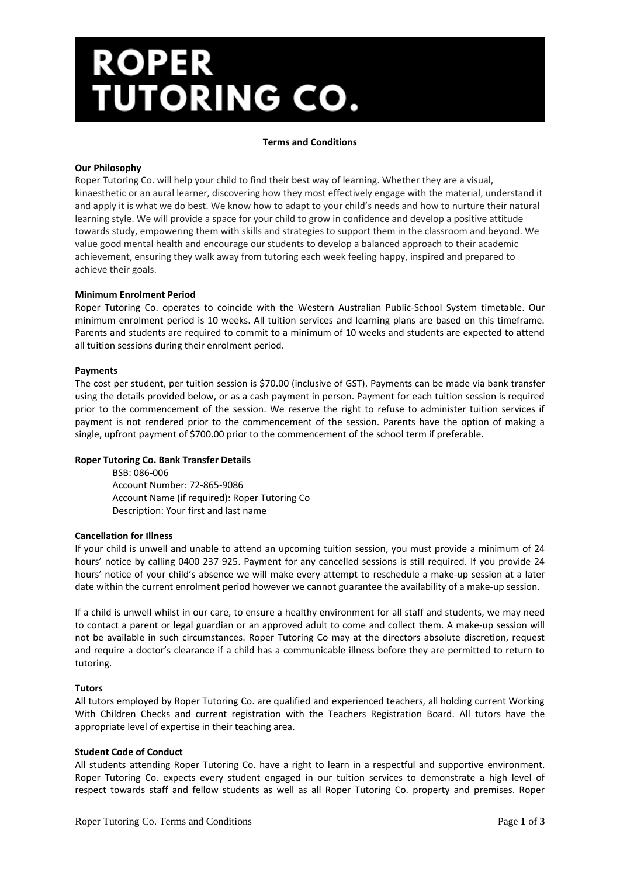# ROPER<br>TUTORING CO.

### **Terms and Conditions**

## **Our Philosophy**

Roper Tutoring Co. will help your child to find their best way of learning. Whether they are a visual, kinaesthetic or an aural learner, discovering how they most effectively engage with the material, understand it and apply it is what we do best. We know how to adapt to your child's needs and how to nurture their natural learning style. We will provide a space for your child to grow in confidence and develop a positive attitude towards study, empowering them with skills and strategies to support them in the classroom and beyond. We value good mental health and encourage our students to develop a balanced approach to their academic achievement, ensuring they walk away from tutoring each week feeling happy, inspired and prepared to achieve their goals.

#### **Minimum Enrolment Period**

Roper Tutoring Co. operates to coincide with the Western Australian Public-School System timetable. Our minimum enrolment period is 10 weeks. All tuition services and learning plans are based on this timeframe. Parents and students are required to commit to a minimum of 10 weeks and students are expected to attend all tuition sessions during their enrolment period.

#### **Payments**

The cost per student, per tuition session is \$70.00 (inclusive of GST). Payments can be made via bank transfer using the details provided below, or as a cash payment in person. Payment for each tuition session is required prior to the commencement of the session. We reserve the right to refuse to administer tuition services if payment is not rendered prior to the commencement of the session. Parents have the option of making a single, upfront payment of \$700.00 prior to the commencement of the school term if preferable.

## **Roper Tutoring Co. Bank Transfer Details**

BSB: 086-006 Account Number: 72-865-9086 Account Name (if required): Roper Tutoring Co Description: Your first and last name

#### **Cancellation for Illness**

If your child is unwell and unable to attend an upcoming tuition session, you must provide a minimum of 24 hours' notice by calling 0400 237 925. Payment for any cancelled sessions is still required. If you provide 24 hours' notice of your child's absence we will make every attempt to reschedule a make-up session at a later date within the current enrolment period however we cannot guarantee the availability of a make-up session.

If a child is unwell whilst in our care, to ensure a healthy environment for all staff and students, we may need to contact a parent or legal guardian or an approved adult to come and collect them. A make-up session will not be available in such circumstances. Roper Tutoring Co may at the directors absolute discretion, request and require a doctor's clearance if a child has a communicable illness before they are permitted to return to tutoring.

#### **Tutors**

All tutors employed by Roper Tutoring Co. are qualified and experienced teachers, all holding current Working With Children Checks and current registration with the Teachers Registration Board. All tutors have the appropriate level of expertise in their teaching area.

#### **Student Code of Conduct**

All students attending Roper Tutoring Co. have a right to learn in a respectful and supportive environment. Roper Tutoring Co. expects every student engaged in our tuition services to demonstrate a high level of respect towards staff and fellow students as well as all Roper Tutoring Co. property and premises. Roper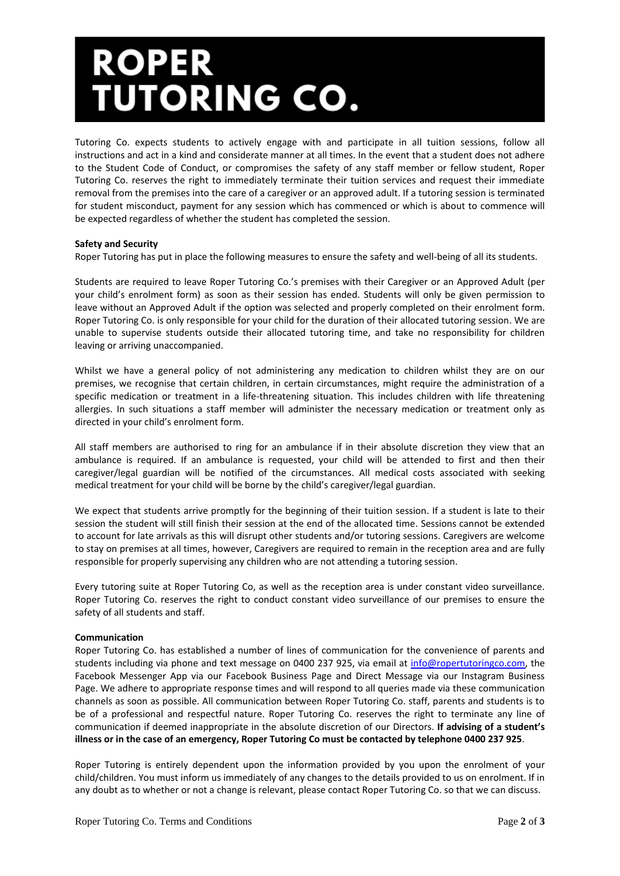## ROPER<br>TUTORING CO.

Tutoring Co. expects students to actively engage with and participate in all tuition sessions, follow all instructions and act in a kind and considerate manner at all times. In the event that a student does not adhere to the Student Code of Conduct, or compromises the safety of any staff member or fellow student, Roper Tutoring Co. reserves the right to immediately terminate their tuition services and request their immediate removal from the premises into the care of a caregiver or an approved adult. If a tutoring session is terminated for student misconduct, payment for any session which has commenced or which is about to commence will be expected regardless of whether the student has completed the session.

## **Safety and Security**

Roper Tutoring has put in place the following measures to ensure the safety and well-being of all its students.

Students are required to leave Roper Tutoring Co.'s premises with their Caregiver or an Approved Adult (per your child's enrolment form) as soon as their session has ended. Students will only be given permission to leave without an Approved Adult if the option was selected and properly completed on their enrolment form. Roper Tutoring Co. is only responsible for your child for the duration of their allocated tutoring session. We are unable to supervise students outside their allocated tutoring time, and take no responsibility for children leaving or arriving unaccompanied.

Whilst we have a general policy of not administering any medication to children whilst they are on our premises, we recognise that certain children, in certain circumstances, might require the administration of a specific medication or treatment in a life-threatening situation. This includes children with life threatening allergies. In such situations a staff member will administer the necessary medication or treatment only as directed in your child's enrolment form.

All staff members are authorised to ring for an ambulance if in their absolute discretion they view that an ambulance is required. If an ambulance is requested, your child will be attended to first and then their caregiver/legal guardian will be notified of the circumstances. All medical costs associated with seeking medical treatment for your child will be borne by the child's caregiver/legal guardian.

We expect that students arrive promptly for the beginning of their tuition session. If a student is late to their session the student will still finish their session at the end of the allocated time. Sessions cannot be extended to account for late arrivals as this will disrupt other students and/or tutoring sessions. Caregivers are welcome to stay on premises at all times, however, Caregivers are required to remain in the reception area and are fully responsible for properly supervising any children who are not attending a tutoring session.

Every tutoring suite at Roper Tutoring Co, as well as the reception area is under constant video surveillance. Roper Tutoring Co. reserves the right to conduct constant video surveillance of our premises to ensure the safety of all students and staff.

## **Communication**

Roper Tutoring Co. has established a number of lines of communication for the convenience of parents and students including via phone and text message on 0400 237 925, via email at [info@ropertutoringco.com,](mailto:info@ropertutoringco.com) the Facebook Messenger App via our Facebook Business Page and Direct Message via our Instagram Business Page. We adhere to appropriate response times and will respond to all queries made via these communication channels as soon as possible. All communication between Roper Tutoring Co. staff, parents and students is to be of a professional and respectful nature. Roper Tutoring Co. reserves the right to terminate any line of communication if deemed inappropriate in the absolute discretion of our Directors. **If advising of a student's illness or in the case of an emergency, Roper Tutoring Co must be contacted by telephone 0400 237 925**.

Roper Tutoring is entirely dependent upon the information provided by you upon the enrolment of your child/children. You must inform us immediately of any changes to the details provided to us on enrolment. If in any doubt as to whether or not a change is relevant, please contact Roper Tutoring Co. so that we can discuss.